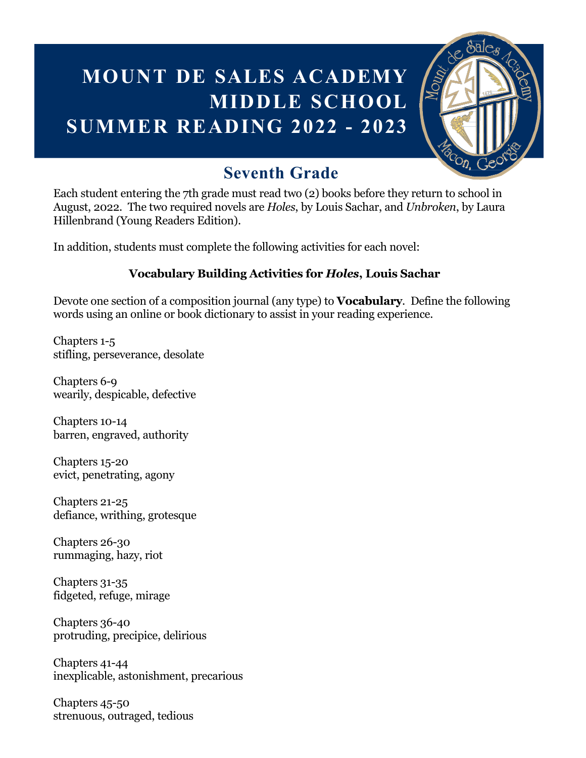# **MOUNT DE SALES ACADEMY MIDDLE SCHOOL SUMMER READING 2022 - 2023**



## **Seventh Grade**

Each student entering the 7th grade must read two (2) books before they return to school in August, 2022. The two required novels are *Holes*, by Louis Sachar, and *Unbroken*, by Laura Hillenbrand (Young Readers Edition).

In addition, students must complete the following activities for each novel:

### **Vocabulary Building Activities for** *Holes***, Louis Sachar**

Devote one section of a composition journal (any type) to **Vocabulary**. Define the following words using an online or book dictionary to assist in your reading experience.

Chapters 1-5 stifling, perseverance, desolate

Chapters 6-9 wearily, despicable, defective

Chapters 10-14 barren, engraved, authority

Chapters 15-20 evict, penetrating, agony

Chapters 21-25 defiance, writhing, grotesque

Chapters 26-30 rummaging, hazy, riot

Chapters 31-35 fidgeted, refuge, mirage

Chapters 36-40 protruding, precipice, delirious

Chapters 41-44 inexplicable, astonishment, precarious

Chapters 45-50 strenuous, outraged, tedious